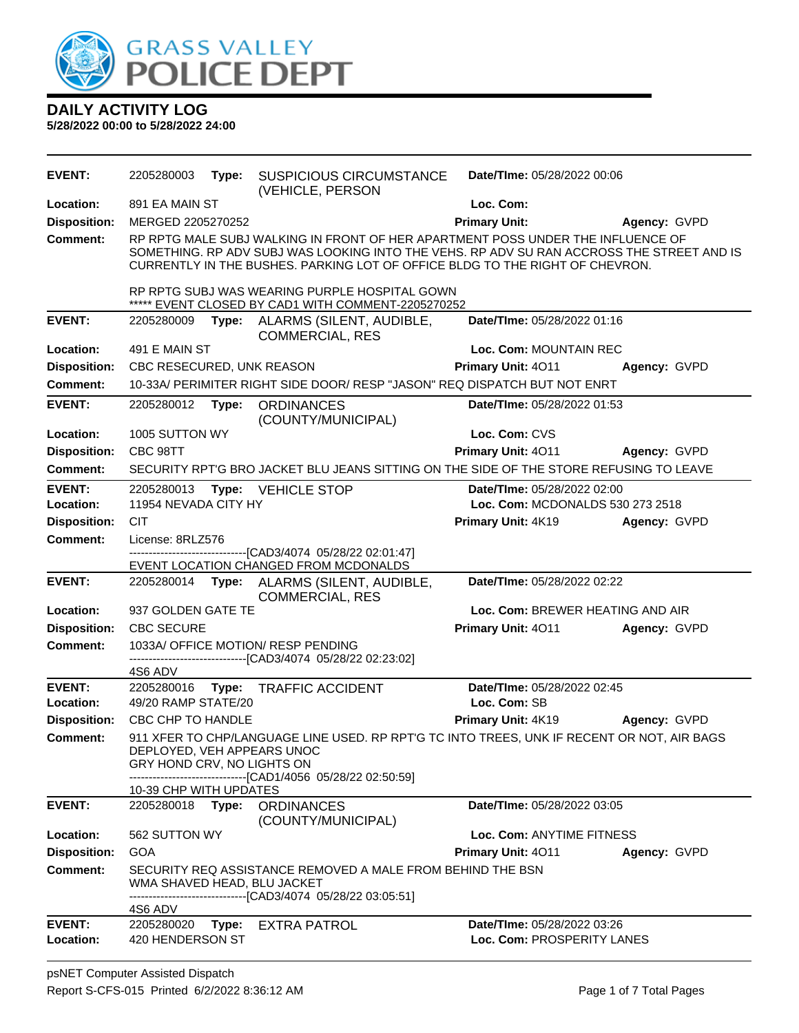

| <b>EVENT:</b>       | 2205280003                                                                                                                                                                                                                                       | Type: | <b>SUSPICIOUS CIRCUMSTANCE</b><br>(VEHICLE, PERSON                                                                                                                                                                                                           | Date/TIme: 05/28/2022 00:06        |              |  |
|---------------------|--------------------------------------------------------------------------------------------------------------------------------------------------------------------------------------------------------------------------------------------------|-------|--------------------------------------------------------------------------------------------------------------------------------------------------------------------------------------------------------------------------------------------------------------|------------------------------------|--------------|--|
| Location:           | 891 EA MAIN ST                                                                                                                                                                                                                                   |       |                                                                                                                                                                                                                                                              | Loc. Com:                          |              |  |
| <b>Disposition:</b> | MERGED 2205270252                                                                                                                                                                                                                                |       |                                                                                                                                                                                                                                                              | <b>Primary Unit:</b>               | Agency: GVPD |  |
| <b>Comment:</b>     |                                                                                                                                                                                                                                                  |       | RP RPTG MALE SUBJ WALKING IN FRONT OF HER APARTMENT POSS UNDER THE INFLUENCE OF<br>SOMETHING. RP ADV SUBJ WAS LOOKING INTO THE VEHS. RP ADV SU RAN ACCROSS THE STREET AND IS<br>CURRENTLY IN THE BUSHES. PARKING LOT OF OFFICE BLDG TO THE RIGHT OF CHEVRON. |                                    |              |  |
|                     |                                                                                                                                                                                                                                                  |       | RP RPTG SUBJ WAS WEARING PURPLE HOSPITAL GOWN<br>** EVENT CLOSED BY CAD1 WITH COMMENT-2205270252                                                                                                                                                             |                                    |              |  |
| <b>EVENT:</b>       | 2205280009                                                                                                                                                                                                                                       |       | Type: ALARMS (SILENT, AUDIBLE,<br><b>COMMERCIAL, RES</b>                                                                                                                                                                                                     | Date/TIme: 05/28/2022 01:16        |              |  |
| Location:           | 491 E MAIN ST                                                                                                                                                                                                                                    |       |                                                                                                                                                                                                                                                              | Loc. Com: MOUNTAIN REC             |              |  |
| <b>Disposition:</b> | CBC RESECURED, UNK REASON                                                                                                                                                                                                                        |       |                                                                                                                                                                                                                                                              | Primary Unit: 4011                 | Agency: GVPD |  |
| <b>Comment:</b>     |                                                                                                                                                                                                                                                  |       | 10-33A/ PERIMITER RIGHT SIDE DOOR/ RESP "JASON" REQ DISPATCH BUT NOT ENRT                                                                                                                                                                                    |                                    |              |  |
| <b>EVENT:</b>       | 2205280012                                                                                                                                                                                                                                       | Type: | <b>ORDINANCES</b><br>(COUNTY/MUNICIPAL)                                                                                                                                                                                                                      | Date/TIme: 05/28/2022 01:53        |              |  |
| Location:           | 1005 SUTTON WY                                                                                                                                                                                                                                   |       |                                                                                                                                                                                                                                                              | Loc. Com: CVS                      |              |  |
| <b>Disposition:</b> | CBC 98TT                                                                                                                                                                                                                                         |       |                                                                                                                                                                                                                                                              | Primary Unit: 4011                 | Agency: GVPD |  |
| Comment:            |                                                                                                                                                                                                                                                  |       | SECURITY RPTG BRO JACKET BLU JEANS SITTING ON THE SIDE OF THE STORE REFUSING TO LEAVE                                                                                                                                                                        |                                    |              |  |
| <b>EVENT:</b>       | 2205280013                                                                                                                                                                                                                                       |       | Type: VEHICLE STOP                                                                                                                                                                                                                                           | Date/TIme: 05/28/2022 02:00        |              |  |
| Location:           | 11954 NEVADA CITY HY                                                                                                                                                                                                                             |       |                                                                                                                                                                                                                                                              | Loc. Com: MCDONALDS 530 273 2518   |              |  |
| <b>Disposition:</b> | <b>CIT</b>                                                                                                                                                                                                                                       |       |                                                                                                                                                                                                                                                              | Primary Unit: 4K19                 | Agency: GVPD |  |
| <b>Comment:</b>     | License: 8RLZ576                                                                                                                                                                                                                                 |       | -------------------------[CAD3/4074_05/28/22_02:01:47]                                                                                                                                                                                                       |                                    |              |  |
|                     |                                                                                                                                                                                                                                                  |       | EVENT LOCATION CHANGED FROM MCDONALDS                                                                                                                                                                                                                        |                                    |              |  |
| <b>EVENT:</b>       | 2205280014                                                                                                                                                                                                                                       |       | Type: ALARMS (SILENT, AUDIBLE,<br><b>COMMERCIAL, RES</b>                                                                                                                                                                                                     | Date/TIme: 05/28/2022 02:22        |              |  |
| Location:           | 937 GOLDEN GATE TE                                                                                                                                                                                                                               |       |                                                                                                                                                                                                                                                              | Loc. Com: BREWER HEATING AND AIR   |              |  |
| <b>Disposition:</b> | <b>CBC SECURE</b>                                                                                                                                                                                                                                |       |                                                                                                                                                                                                                                                              | Primary Unit: 4011                 | Agency: GVPD |  |
| <b>Comment:</b>     |                                                                                                                                                                                                                                                  |       | 1033A/ OFFICE MOTION/ RESP PENDING<br>-------------------------[CAD3/4074_05/28/22_02:23:02]                                                                                                                                                                 |                                    |              |  |
| <b>EVENT:</b>       | 4S6 ADV                                                                                                                                                                                                                                          |       |                                                                                                                                                                                                                                                              | Date/TIme: 05/28/2022 02:45        |              |  |
| Location:           | 49/20 RAMP STATE/20                                                                                                                                                                                                                              |       | 2205280016 Type: TRAFFIC ACCIDENT                                                                                                                                                                                                                            | Loc. Com: SB                       |              |  |
| <b>Disposition:</b> | CBC CHP TO HANDLE                                                                                                                                                                                                                                |       |                                                                                                                                                                                                                                                              | Primary Unit: 4K19                 | Agency: GVPD |  |
| <b>Comment:</b>     | 911 XFER TO CHP/LANGUAGE LINE USED. RP RPT'G TC INTO TREES, UNK IF RECENT OR NOT, AIR BAGS<br>DEPLOYED, VEH APPEARS UNOC<br>GRY HOND CRV, NO LIGHTS ON<br>-------------------------------[CAD1/4056 05/28/22 02:50:59]<br>10-39 CHP WITH UPDATES |       |                                                                                                                                                                                                                                                              |                                    |              |  |
| <b>EVENT:</b>       | 2205280018                                                                                                                                                                                                                                       | Type: | <b>ORDINANCES</b>                                                                                                                                                                                                                                            | <b>Date/Time: 05/28/2022 03:05</b> |              |  |
|                     |                                                                                                                                                                                                                                                  |       | (COUNTY/MUNICIPAL)                                                                                                                                                                                                                                           |                                    |              |  |
| Location:           | 562 SUTTON WY                                                                                                                                                                                                                                    |       |                                                                                                                                                                                                                                                              | Loc. Com: ANYTIME FITNESS          |              |  |
| <b>Disposition:</b> | <b>GOA</b>                                                                                                                                                                                                                                       |       |                                                                                                                                                                                                                                                              | Primary Unit: 4011                 | Agency: GVPD |  |
| <b>Comment:</b>     | WMA SHAVED HEAD, BLU JACKET<br>4S6 ADV                                                                                                                                                                                                           |       | SECURITY REQ ASSISTANCE REMOVED A MALE FROM BEHIND THE BSN<br>-------------------------------[CAD3/4074_05/28/22_03:05:51]                                                                                                                                   |                                    |              |  |
| <b>EVENT:</b>       | 2205280020                                                                                                                                                                                                                                       | Type: | <b>EXTRA PATROL</b>                                                                                                                                                                                                                                          | Date/TIme: 05/28/2022 03:26        |              |  |
| Location:           | 420 HENDERSON ST                                                                                                                                                                                                                                 |       |                                                                                                                                                                                                                                                              | Loc. Com: PROSPERITY LANES         |              |  |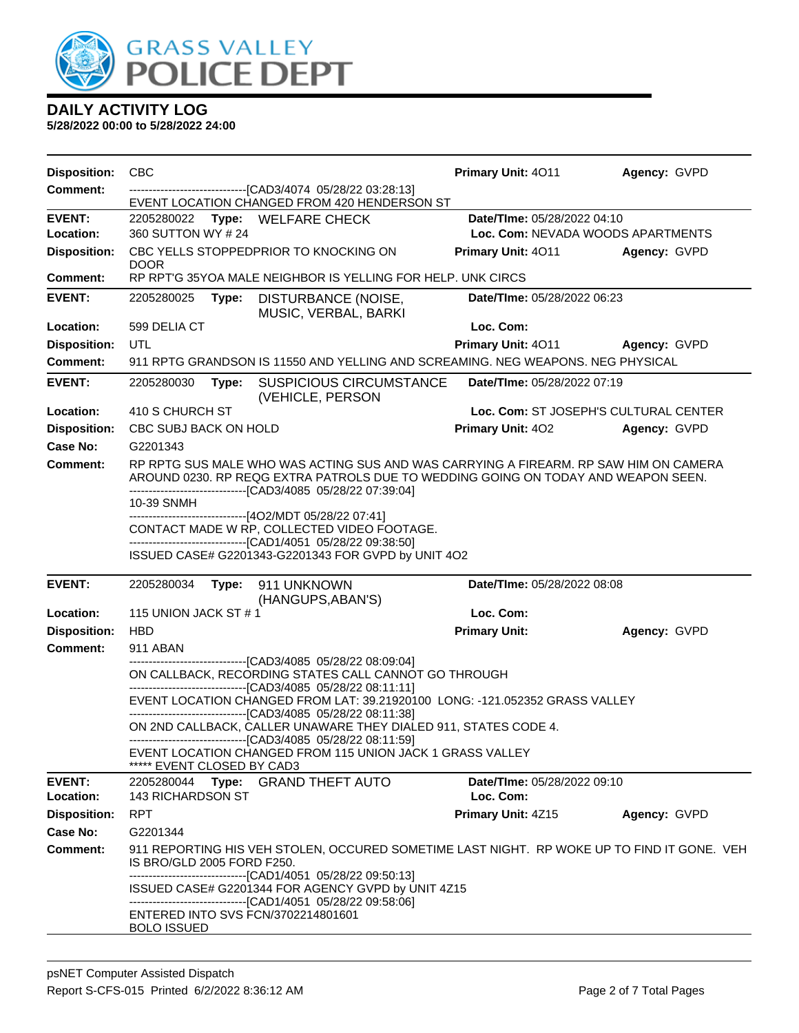

| <b>Disposition:</b>                    | <b>CBC</b>                                                                                                                                   |                                                                                                                                                                                     | Primary Unit: 4011                       | Agency: GVPD                      |  |  |  |
|----------------------------------------|----------------------------------------------------------------------------------------------------------------------------------------------|-------------------------------------------------------------------------------------------------------------------------------------------------------------------------------------|------------------------------------------|-----------------------------------|--|--|--|
| <b>Comment:</b>                        |                                                                                                                                              | --------------------------------[CAD3/4074 05/28/22 03:28:13]<br>EVENT LOCATION CHANGED FROM 420 HENDERSON ST                                                                       |                                          |                                   |  |  |  |
| <b>EVENT:</b>                          |                                                                                                                                              | 2205280022 Type: WELFARE CHECK                                                                                                                                                      | Date/TIme: 05/28/2022 04:10              |                                   |  |  |  |
| Location:                              | 360 SUTTON WY # 24                                                                                                                           |                                                                                                                                                                                     |                                          | Loc. Com: NEVADA WOODS APARTMENTS |  |  |  |
| <b>Disposition:</b>                    | <b>DOOR</b>                                                                                                                                  | CBC YELLS STOPPEDPRIOR TO KNOCKING ON                                                                                                                                               | Primary Unit: 4011                       | Agency: GVPD                      |  |  |  |
| <b>Comment:</b>                        | RP RPT'G 35YOA MALE NEIGHBOR IS YELLING FOR HELP. UNK CIRCS                                                                                  |                                                                                                                                                                                     |                                          |                                   |  |  |  |
| <b>EVENT:</b>                          | 2205280025<br>Type:                                                                                                                          | DISTURBANCE (NOISE,<br>MUSIC, VERBAL, BARKI                                                                                                                                         | Date/TIme: 05/28/2022 06:23              |                                   |  |  |  |
| Location:                              | 599 DELIA CT                                                                                                                                 |                                                                                                                                                                                     | Loc. Com:                                |                                   |  |  |  |
| <b>Disposition:</b>                    | UTL                                                                                                                                          |                                                                                                                                                                                     | Primary Unit: 4011                       | Agency: GVPD                      |  |  |  |
| <b>Comment:</b>                        |                                                                                                                                              | 911 RPTG GRANDSON IS 11550 AND YELLING AND SCREAMING. NEG WEAPONS, NEG PHYSICAL                                                                                                     |                                          |                                   |  |  |  |
| <b>EVENT:</b>                          | 2205280030<br>Type:                                                                                                                          | <b>SUSPICIOUS CIRCUMSTANCE</b><br>(VEHICLE, PERSON                                                                                                                                  | Date/TIme: 05/28/2022 07:19              |                                   |  |  |  |
| Location:                              | 410 S CHURCH ST                                                                                                                              |                                                                                                                                                                                     | Loc. Com: ST JOSEPH'S CULTURAL CENTER    |                                   |  |  |  |
| <b>Disposition:</b>                    | CBC SUBJ BACK ON HOLD                                                                                                                        |                                                                                                                                                                                     | <b>Primary Unit: 402</b>                 | Agency: GVPD                      |  |  |  |
| <b>Case No:</b>                        | G2201343                                                                                                                                     |                                                                                                                                                                                     |                                          |                                   |  |  |  |
| <b>Comment:</b>                        |                                                                                                                                              | RP RPTG SUS MALE WHO WAS ACTING SUS AND WAS CARRYING A FIREARM. RP SAW HIM ON CAMERA<br>AROUND 0230. RP REQG EXTRA PATROLS DUE TO WEDDING GOING ON TODAY AND WEAPON SEEN.           |                                          |                                   |  |  |  |
|                                        | 10-39 SNMH                                                                                                                                   | --------------------------------[CAD3/4085 05/28/22 07:39:04]                                                                                                                       |                                          |                                   |  |  |  |
|                                        |                                                                                                                                              | ------------------------------[4O2/MDT 05/28/22 07:41]<br>CONTACT MADE W RP, COLLECTED VIDEO FOOTAGE.                                                                               |                                          |                                   |  |  |  |
|                                        |                                                                                                                                              | -------------------------------[CAD1/4051 05/28/22 09:38:50]                                                                                                                        |                                          |                                   |  |  |  |
|                                        |                                                                                                                                              | ISSUED CASE# G2201343-G2201343 FOR GVPD by UNIT 4O2                                                                                                                                 |                                          |                                   |  |  |  |
| <b>EVENT:</b>                          | 2205280034<br>Type:                                                                                                                          | 911 UNKNOWN                                                                                                                                                                         | Date/TIme: 05/28/2022 08:08              |                                   |  |  |  |
|                                        |                                                                                                                                              | (HANGUPS, ABAN'S)                                                                                                                                                                   |                                          |                                   |  |  |  |
| Location:                              | 115 UNION JACK ST #1                                                                                                                         |                                                                                                                                                                                     | Loc. Com:                                |                                   |  |  |  |
| <b>Disposition:</b><br><b>Comment:</b> | <b>HBD</b>                                                                                                                                   |                                                                                                                                                                                     | <b>Primary Unit:</b>                     | Agency: GVPD                      |  |  |  |
|                                        | 911 ABAN<br>------------------------[CAD3/4085_05/28/22_08:09:04]<br>ON CALLBACK, RECORDING STATES CALL CANNOT GO THROUGH                    |                                                                                                                                                                                     |                                          |                                   |  |  |  |
|                                        |                                                                                                                                              |                                                                                                                                                                                     |                                          |                                   |  |  |  |
|                                        | --------------------------------[CAD3/4085 05/28/22 08:11:11]<br>EVENT LOCATION CHANGED FROM LAT: 39.21920100 LONG: -121.052352 GRASS VALLEY |                                                                                                                                                                                     |                                          |                                   |  |  |  |
|                                        |                                                                                                                                              | ------------------------[CAD3/4085 05/28/22 08:11:38]<br>ON 2ND CALLBACK, CALLER UNAWARE THEY DIALED 911, STATES CODE 4.                                                            |                                          |                                   |  |  |  |
|                                        |                                                                                                                                              | --------------------------------[CAD3/4085 05/28/22 08:11:59]                                                                                                                       |                                          |                                   |  |  |  |
|                                        | ***** EVENT CLOSED BY CAD3                                                                                                                   | EVENT LOCATION CHANGED FROM 115 UNION JACK 1 GRASS VALLEY                                                                                                                           |                                          |                                   |  |  |  |
| <b>EVENT:</b><br>Location:             | 143 RICHARDSON ST                                                                                                                            | 2205280044 Type: GRAND THEFT AUTO                                                                                                                                                   | Date/TIme: 05/28/2022 09:10<br>Loc. Com: |                                   |  |  |  |
| <b>Disposition:</b>                    | <b>RPT</b>                                                                                                                                   |                                                                                                                                                                                     | Primary Unit: 4Z15                       | Agency: GVPD                      |  |  |  |
| <b>Case No:</b>                        | G2201344                                                                                                                                     |                                                                                                                                                                                     |                                          |                                   |  |  |  |
| <b>Comment:</b>                        | IS BRO/GLD 2005 FORD F250.                                                                                                                   | 911 REPORTING HIS VEH STOLEN, OCCURED SOMETIME LAST NIGHT. RP WOKE UP TO FIND IT GONE. VEH                                                                                          |                                          |                                   |  |  |  |
|                                        |                                                                                                                                              | --------------------------------[CAD1/4051 05/28/22 09:50:13]<br>ISSUED CASE# G2201344 FOR AGENCY GVPD by UNIT 4Z15<br>-------------------------------[CAD1/4051 05/28/22 09:58:06] |                                          |                                   |  |  |  |
|                                        | ENTERED INTO SVS FCN/3702214801601<br><b>BOLO ISSUED</b>                                                                                     |                                                                                                                                                                                     |                                          |                                   |  |  |  |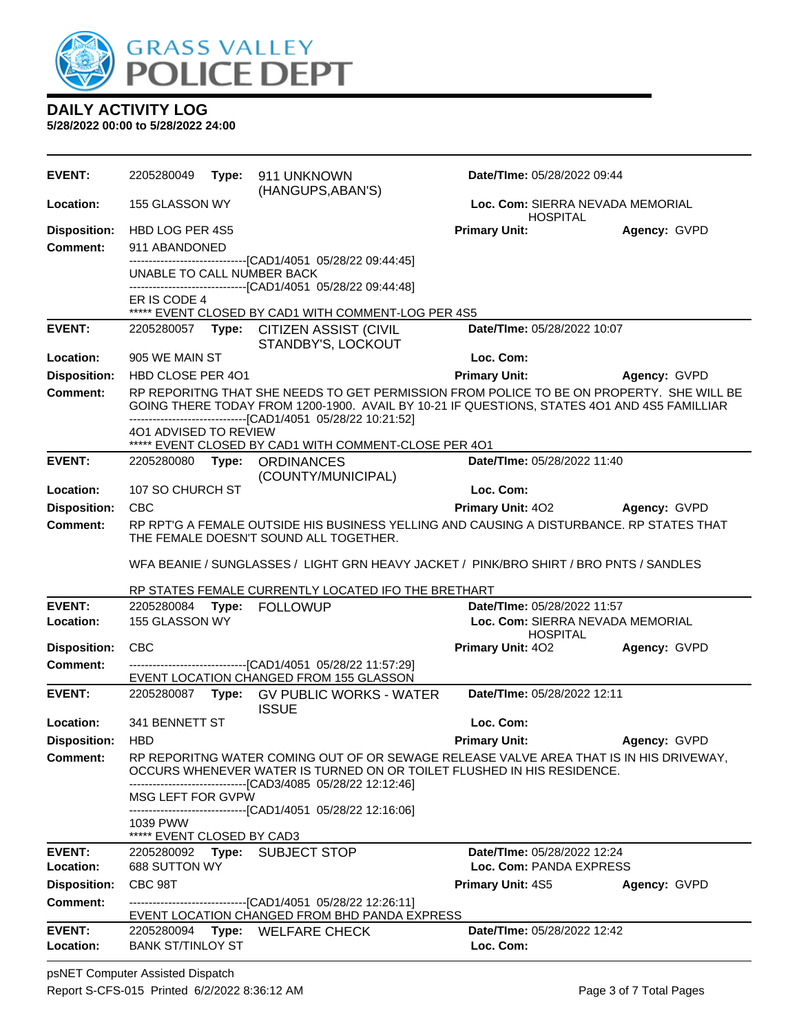

**5/28/2022 00:00 to 5/28/2022 24:00**

| EVENT:                                 | 2205280049                                                                                                                                                                                                                                                |  | Type: 911 UNKNOWN<br>(HANGUPS, ABAN'S)                                                                                                                                                                                                                  | Date/TIme: 05/28/2022 09:44                                                        |              |  |
|----------------------------------------|-----------------------------------------------------------------------------------------------------------------------------------------------------------------------------------------------------------------------------------------------------------|--|---------------------------------------------------------------------------------------------------------------------------------------------------------------------------------------------------------------------------------------------------------|------------------------------------------------------------------------------------|--------------|--|
| Location:                              | 155 GLASSON WY                                                                                                                                                                                                                                            |  |                                                                                                                                                                                                                                                         | Loc. Com: SIERRA NEVADA MEMORIAL<br><b>HOSPITAL</b>                                |              |  |
| <b>Disposition:</b><br><b>Comment:</b> | HBD LOG PER 4S5<br>911 ABANDONED<br>UNABLE TO CALL NUMBER BACK                                                                                                                                                                                            |  | -----------------[CAD1/4051_05/28/22 09:44:45]<br>-------------------------------[CAD1/4051 05/28/22 09:44:48]                                                                                                                                          | <b>Primary Unit:</b>                                                               | Agency: GVPD |  |
|                                        | ER IS CODE 4                                                                                                                                                                                                                                              |  | ***** EVENT CLOSED BY CAD1 WITH COMMENT-LOG PER 4S5                                                                                                                                                                                                     |                                                                                    |              |  |
| <b>EVENT:</b>                          | 2205280057                                                                                                                                                                                                                                                |  | Type: CITIZEN ASSIST (CIVIL<br>STANDBY'S, LOCKOUT                                                                                                                                                                                                       | Date/TIme: 05/28/2022 10:07                                                        |              |  |
| Location:                              | 905 WE MAIN ST                                                                                                                                                                                                                                            |  |                                                                                                                                                                                                                                                         | Loc. Com:                                                                          |              |  |
| <b>Disposition:</b>                    | HBD CLOSE PER 401                                                                                                                                                                                                                                         |  |                                                                                                                                                                                                                                                         | <b>Primary Unit:</b>                                                               | Agency: GVPD |  |
| <b>Comment:</b>                        | 401 ADVISED TO REVIEW                                                                                                                                                                                                                                     |  | RP REPORITNG THAT SHE NEEDS TO GET PERMISSION FROM POLICE TO BE ON PROPERTY. SHE WILL BE<br>GOING THERE TODAY FROM 1200-1900. AVAIL BY 10-21 IF QUESTIONS, STATES 4O1 AND 4S5 FAMILLIAR<br>-------------------------------[CAD1/4051 05/28/22 10:21:52] |                                                                                    |              |  |
|                                        |                                                                                                                                                                                                                                                           |  | ***** EVENT CLOSED BY CAD1 WITH COMMENT-CLOSE PER 401                                                                                                                                                                                                   |                                                                                    |              |  |
| <b>EVENT:</b>                          | 2205280080                                                                                                                                                                                                                                                |  | Type: ORDINANCES<br>(COUNTY/MUNICIPAL)                                                                                                                                                                                                                  | Date/TIme: 05/28/2022 11:40                                                        |              |  |
| Location:                              | 107 SO CHURCH ST                                                                                                                                                                                                                                          |  |                                                                                                                                                                                                                                                         | Loc. Com:                                                                          |              |  |
| <b>Disposition:</b>                    | <b>CBC</b>                                                                                                                                                                                                                                                |  |                                                                                                                                                                                                                                                         | <b>Primary Unit: 402</b>                                                           | Agency: GVPD |  |
| <b>Comment:</b>                        |                                                                                                                                                                                                                                                           |  | RP RPTG A FEMALE OUTSIDE HIS BUSINESS YELLING AND CAUSING A DISTURBANCE. RP STATES THAT<br>THE FEMALE DOESN'T SOUND ALL TOGETHER.                                                                                                                       |                                                                                    |              |  |
|                                        |                                                                                                                                                                                                                                                           |  | WFA BEANIE / SUNGLASSES / LIGHT GRN HEAVY JACKET / PINK/BRO SHIRT / BRO PNTS / SANDLES                                                                                                                                                                  |                                                                                    |              |  |
|                                        |                                                                                                                                                                                                                                                           |  | RP STATES FEMALE CURRENTLY LOCATED IFO THE BRETHART                                                                                                                                                                                                     |                                                                                    |              |  |
| <b>EVENT:</b><br>Location:             | 155 GLASSON WY                                                                                                                                                                                                                                            |  | 2205280084 Type: FOLLOWUP                                                                                                                                                                                                                               | Date/TIme: 05/28/2022 11:57<br>Loc. Com: SIERRA NEVADA MEMORIAL<br><b>HOSPITAL</b> |              |  |
| <b>Disposition:</b><br><b>Comment:</b> | <b>CBC</b>                                                                                                                                                                                                                                                |  | -------------------------------[CAD1/4051 05/28/22 11:57:29]                                                                                                                                                                                            | <b>Primary Unit: 402</b>                                                           | Agency: GVPD |  |
|                                        |                                                                                                                                                                                                                                                           |  | EVENT LOCATION CHANGED FROM 155 GLASSON                                                                                                                                                                                                                 |                                                                                    |              |  |
| <b>EVENT:</b>                          | 2205280087                                                                                                                                                                                                                                                |  | Type: GV PUBLIC WORKS - WATER<br><b>ISSUE</b>                                                                                                                                                                                                           | Date/TIme: 05/28/2022 12:11                                                        |              |  |
| Location:                              | 341 BENNETT ST                                                                                                                                                                                                                                            |  |                                                                                                                                                                                                                                                         | Loc. Com:                                                                          |              |  |
| <b>Disposition:</b>                    | <b>HBD</b>                                                                                                                                                                                                                                                |  |                                                                                                                                                                                                                                                         | <b>Primary Unit:</b>                                                               | Agency: GVPD |  |
| <b>Comment:</b>                        | RP REPORITNG WATER COMING OUT OF OR SEWAGE RELEASE VALVE AREA THAT IS IN HIS DRIVEWAY,<br>OCCURS WHENEVER WATER IS TURNED ON OR TOILET FLUSHED IN HIS RESIDENCE.<br>---------------------------[CAD3/4085  05/28/22 12:12:46]<br><b>MSG LEFT FOR GVPW</b> |  |                                                                                                                                                                                                                                                         |                                                                                    |              |  |
|                                        | 1039 PWW<br>***** EVENT CLOSED BY CAD3                                                                                                                                                                                                                    |  | --------------------------------[CAD1/4051 05/28/22 12:16:06]                                                                                                                                                                                           |                                                                                    |              |  |
| <b>EVENT:</b><br>Location:             | 688 SUTTON WY                                                                                                                                                                                                                                             |  | 2205280092 Type: SUBJECT STOP                                                                                                                                                                                                                           | Date/TIme: 05/28/2022 12:24<br>Loc. Com: PANDA EXPRESS                             |              |  |
| <b>Disposition:</b>                    | CBC 98T                                                                                                                                                                                                                                                   |  |                                                                                                                                                                                                                                                         | <b>Primary Unit: 4S5</b>                                                           | Agency: GVPD |  |
| Comment:                               |                                                                                                                                                                                                                                                           |  | -------------------------------[CAD1/4051 05/28/22 12:26:11]<br>EVENT LOCATION CHANGED FROM BHD PANDA EXPRESS                                                                                                                                           |                                                                                    |              |  |
| <b>EVENT:</b><br>Location:             | 2205280094<br><b>BANK ST/TINLOY ST</b>                                                                                                                                                                                                                    |  | Type: WELFARE CHECK                                                                                                                                                                                                                                     | Date/TIme: 05/28/2022 12:42<br>Loc. Com:                                           |              |  |

psNET Computer Assisted Dispatch Report S-CFS-015 Printed 6/2/2022 8:36:12 AM Page 3 of 7 Total Pages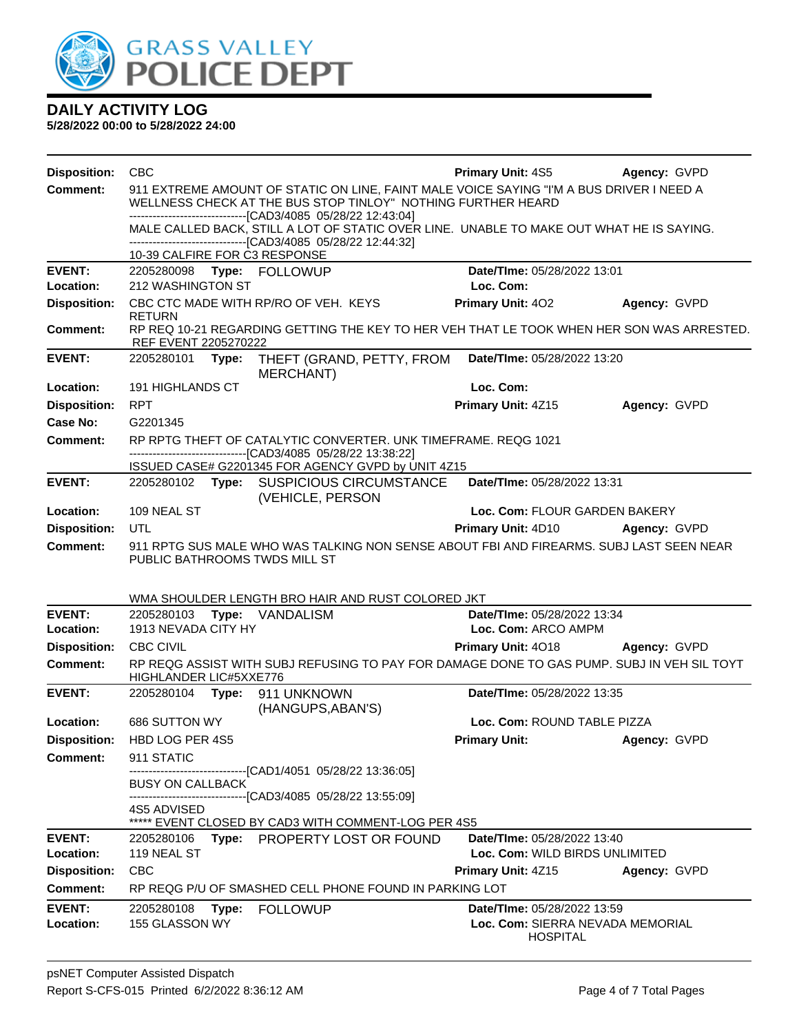

| <b>Disposition:</b> | <b>CBC</b>                                                                                                                                       | <b>Primary Unit: 4S5</b>         | Agency: GVPD |  |  |  |  |
|---------------------|--------------------------------------------------------------------------------------------------------------------------------------------------|----------------------------------|--------------|--|--|--|--|
| <b>Comment:</b>     | 911 EXTREME AMOUNT OF STATIC ON LINE, FAINT MALE VOICE SAYING "I'M A BUS DRIVER I NEED A                                                         |                                  |              |  |  |  |  |
|                     | WELLNESS CHECK AT THE BUS STOP TINLOY" NOTHING FURTHER HEARD                                                                                     |                                  |              |  |  |  |  |
|                     | -----------------------[CAD3/4085 05/28/22 12:43:04]<br>MALE CALLED BACK, STILL A LOT OF STATIC OVER LINE. UNABLE TO MAKE OUT WHAT HE IS SAYING. |                                  |              |  |  |  |  |
|                     | ------------------------------[CAD3/4085 05/28/22 12:44:32]                                                                                      |                                  |              |  |  |  |  |
|                     | 10-39 CALFIRE FOR C3 RESPONSE                                                                                                                    |                                  |              |  |  |  |  |
| <b>EVENT:</b>       | 2205280098 Type: FOLLOWUP                                                                                                                        | Date/TIme: 05/28/2022 13:01      |              |  |  |  |  |
| Location:           | 212 WASHINGTON ST                                                                                                                                | Loc. Com:                        |              |  |  |  |  |
| <b>Disposition:</b> | CBC CTC MADE WITH RP/RO OF VEH. KEYS<br><b>RETURN</b>                                                                                            | Primary Unit: 402                | Agency: GVPD |  |  |  |  |
| <b>Comment:</b>     | RP REQ 10-21 REGARDING GETTING THE KEY TO HER VEH THAT LE TOOK WHEN HER SON WAS ARRESTED.<br>REF EVENT 2205270222                                |                                  |              |  |  |  |  |
| <b>EVENT:</b>       | 2205280101<br>Type:<br>THEFT (GRAND, PETTY, FROM<br>MERCHANT)                                                                                    | Date/TIme: 05/28/2022 13:20      |              |  |  |  |  |
| Location:           | <b>191 HIGHLANDS CT</b>                                                                                                                          | Loc. Com:                        |              |  |  |  |  |
| <b>Disposition:</b> | <b>RPT</b>                                                                                                                                       | Primary Unit: 4Z15               | Agency: GVPD |  |  |  |  |
| <b>Case No:</b>     | G2201345                                                                                                                                         |                                  |              |  |  |  |  |
| Comment:            | RP RPTG THEFT OF CATALYTIC CONVERTER. UNK TIMEFRAME. REQG 1021                                                                                   |                                  |              |  |  |  |  |
|                     | -----------------------[CAD3/4085 05/28/22 13:38:22]<br>ISSUED CASE# G2201345 FOR AGENCY GVPD by UNIT 4Z15                                       |                                  |              |  |  |  |  |
| <b>EVENT:</b>       | 2205280102 Type: SUSPICIOUS CIRCUMSTANCE                                                                                                         | Date/TIme: 05/28/2022 13:31      |              |  |  |  |  |
|                     | (VEHICLE, PERSON                                                                                                                                 |                                  |              |  |  |  |  |
| Location:           | 109 NEAL ST                                                                                                                                      | Loc. Com: FLOUR GARDEN BAKERY    |              |  |  |  |  |
| <b>Disposition:</b> | UTL                                                                                                                                              | Primary Unit: 4D10               | Agency: GVPD |  |  |  |  |
| <b>Comment:</b>     | 911 RPTG SUS MALE WHO WAS TALKING NON SENSE ABOUT FBI AND FIREARMS. SUBJ LAST SEEN NEAR                                                          |                                  |              |  |  |  |  |
|                     | PUBLIC BATHROOMS TWDS MILL ST                                                                                                                    |                                  |              |  |  |  |  |
|                     |                                                                                                                                                  |                                  |              |  |  |  |  |
|                     | WMA SHOULDER LENGTH BRO HAIR AND RUST COLORED JKT                                                                                                |                                  |              |  |  |  |  |
| <b>EVENT:</b>       | 2205280103<br>Type: VANDALISM                                                                                                                    | Date/TIme: 05/28/2022 13:34      |              |  |  |  |  |
| Location:           | 1913 NEVADA CITY HY                                                                                                                              | Loc. Com: ARCO AMPM              |              |  |  |  |  |
| <b>Disposition:</b> | <b>CBC CIVIL</b>                                                                                                                                 | Primary Unit: 4018               | Agency: GVPD |  |  |  |  |
| <b>Comment:</b>     | RP REQG ASSIST WITH SUBJ REFUSING TO PAY FOR DAMAGE DONE TO GAS PUMP. SUBJ IN VEH SIL TOYT<br>HIGHLANDER LIC#5XXE776                             |                                  |              |  |  |  |  |
| <b>EVENT:</b>       | 2205280104<br>Type: 911 UNKNOWN                                                                                                                  | Date/TIme: 05/28/2022 13:35      |              |  |  |  |  |
|                     | (HANGUPS, ABAN'S)                                                                                                                                |                                  |              |  |  |  |  |
| Location:           | 686 SUTTON WY                                                                                                                                    | Loc. Com: ROUND TABLE PIZZA      |              |  |  |  |  |
| <b>Disposition:</b> | HBD LOG PER 4S5                                                                                                                                  | <b>Primary Unit:</b>             | Agency: GVPD |  |  |  |  |
| <b>Comment:</b>     | 911 STATIC                                                                                                                                       |                                  |              |  |  |  |  |
|                     | -----------------[CAD1/4051_05/28/22 13:36:05]<br><b>BUSY ON CALLBACK</b>                                                                        |                                  |              |  |  |  |  |
|                     | --------------------------------[CAD3/4085 05/28/22 13:55:09]                                                                                    |                                  |              |  |  |  |  |
|                     | 4S5 ADVISED<br>***** EVENT CLOSED BY CAD3 WITH COMMENT-LOG PER 4S5                                                                               |                                  |              |  |  |  |  |
| <b>EVENT:</b>       | Type: PROPERTY LOST OR FOUND<br>2205280106                                                                                                       | Date/TIme: 05/28/2022 13:40      |              |  |  |  |  |
| Location:           | 119 NEAL ST                                                                                                                                      | Loc. Com: WILD BIRDS UNLIMITED   |              |  |  |  |  |
| <b>Disposition:</b> | <b>CBC</b>                                                                                                                                       | Primary Unit: 4Z15               | Agency: GVPD |  |  |  |  |
| Comment:            | RP REQG P/U OF SMASHED CELL PHONE FOUND IN PARKING LOT                                                                                           |                                  |              |  |  |  |  |
| <b>EVENT:</b>       | <b>FOLLOWUP</b><br>2205280108<br>Type:                                                                                                           | Date/TIme: 05/28/2022 13:59      |              |  |  |  |  |
| Location:           | 155 GLASSON WY                                                                                                                                   | Loc. Com: SIERRA NEVADA MEMORIAL |              |  |  |  |  |
|                     |                                                                                                                                                  | <b>HOSPITAL</b>                  |              |  |  |  |  |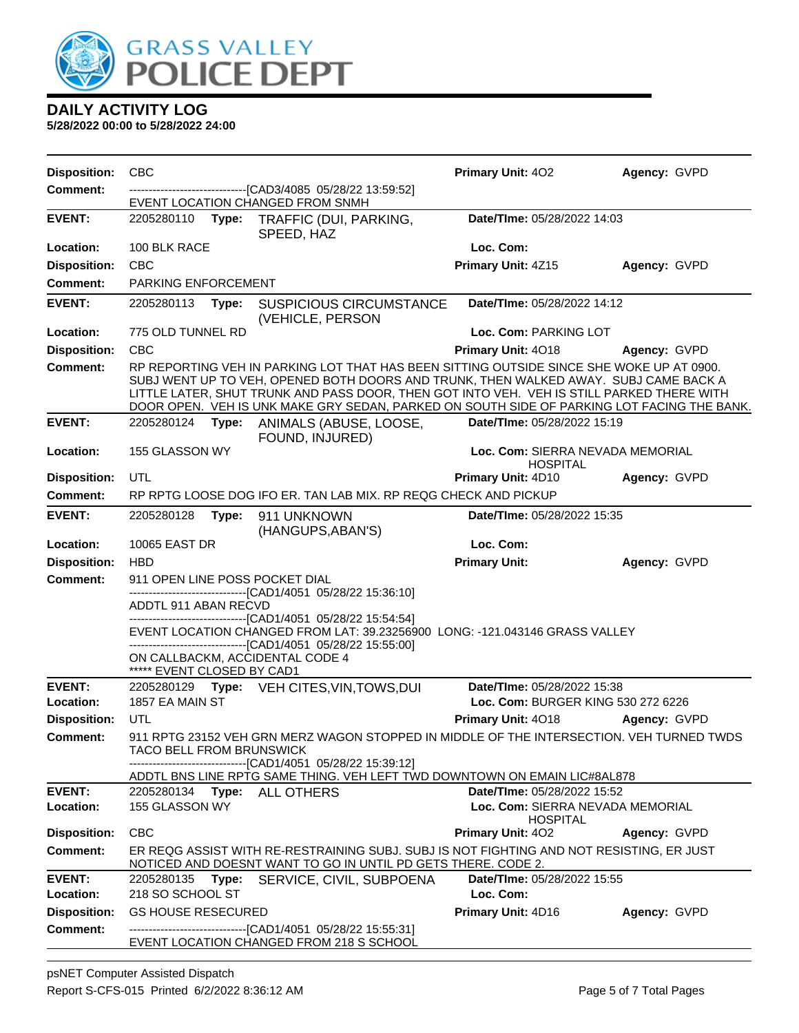

| <b>Disposition:</b>                    | <b>CBC</b>                                                                                                                                                                                                                                                                                                                                                                  |       |                                                                                                                                                                                                                                               | Primary Unit: 402                                                 | Agency: GVPD |  |  |
|----------------------------------------|-----------------------------------------------------------------------------------------------------------------------------------------------------------------------------------------------------------------------------------------------------------------------------------------------------------------------------------------------------------------------------|-------|-----------------------------------------------------------------------------------------------------------------------------------------------------------------------------------------------------------------------------------------------|-------------------------------------------------------------------|--------------|--|--|
| <b>Comment:</b>                        | ----------------------------------[CAD3/4085_05/28/22_13:59:52]<br>EVENT LOCATION CHANGED FROM SNMH                                                                                                                                                                                                                                                                         |       |                                                                                                                                                                                                                                               |                                                                   |              |  |  |
| <b>EVENT:</b>                          | 2205280110                                                                                                                                                                                                                                                                                                                                                                  |       | Type: TRAFFIC (DUI, PARKING,<br>SPEED, HAZ                                                                                                                                                                                                    | Date/TIme: 05/28/2022 14:03                                       |              |  |  |
| Location:                              | 100 BLK RACE                                                                                                                                                                                                                                                                                                                                                                |       |                                                                                                                                                                                                                                               | Loc. Com:                                                         |              |  |  |
| <b>Disposition:</b>                    | <b>CBC</b>                                                                                                                                                                                                                                                                                                                                                                  |       |                                                                                                                                                                                                                                               | Primary Unit: 4Z15                                                | Agency: GVPD |  |  |
| <b>Comment:</b>                        | PARKING ENFORCEMENT                                                                                                                                                                                                                                                                                                                                                         |       |                                                                                                                                                                                                                                               |                                                                   |              |  |  |
| <b>EVENT:</b>                          | 2205280113                                                                                                                                                                                                                                                                                                                                                                  | Type: | <b>SUSPICIOUS CIRCUMSTANCE</b><br>(VEHICLE, PERSON                                                                                                                                                                                            | Date/TIme: 05/28/2022 14:12                                       |              |  |  |
| Location:                              | 775 OLD TUNNEL RD                                                                                                                                                                                                                                                                                                                                                           |       |                                                                                                                                                                                                                                               | Loc. Com: PARKING LOT                                             |              |  |  |
| <b>Disposition:</b>                    | <b>CBC</b>                                                                                                                                                                                                                                                                                                                                                                  |       |                                                                                                                                                                                                                                               | Primary Unit: 4018                                                | Agency: GVPD |  |  |
| <b>Comment:</b>                        | RP REPORTING VEH IN PARKING LOT THAT HAS BEEN SITTING OUTSIDE SINCE SHE WOKE UP AT 0900.<br>SUBJ WENT UP TO VEH, OPENED BOTH DOORS AND TRUNK, THEN WALKED AWAY. SUBJ CAME BACK A<br>LITTLE LATER, SHUT TRUNK AND PASS DOOR, THEN GOT INTO VEH. VEH IS STILL PARKED THERE WITH<br>DOOR OPEN. VEH IS UNK MAKE GRY SEDAN, PARKED ON SOUTH SIDE OF PARKING LOT FACING THE BANK. |       |                                                                                                                                                                                                                                               |                                                                   |              |  |  |
| <b>EVENT:</b>                          | 2205280124                                                                                                                                                                                                                                                                                                                                                                  | Type: | ANIMALS (ABUSE, LOOSE,<br>FOUND, INJURED)                                                                                                                                                                                                     | Date/TIme: 05/28/2022 15:19                                       |              |  |  |
| Location:                              | 155 GLASSON WY                                                                                                                                                                                                                                                                                                                                                              |       |                                                                                                                                                                                                                                               | Loc. Com: SIERRA NEVADA MEMORIAL<br><b>HOSPITAL</b>               |              |  |  |
| <b>Disposition:</b>                    | UTL                                                                                                                                                                                                                                                                                                                                                                         |       |                                                                                                                                                                                                                                               | <b>Primary Unit: 4D10</b>                                         | Agency: GVPD |  |  |
| <b>Comment:</b>                        |                                                                                                                                                                                                                                                                                                                                                                             |       | RP RPTG LOOSE DOG IFO ER. TAN LAB MIX. RP REQG CHECK AND PICKUP                                                                                                                                                                               |                                                                   |              |  |  |
| <b>EVENT:</b>                          | 2205280128                                                                                                                                                                                                                                                                                                                                                                  | Type: | 911 UNKNOWN<br>(HANGUPS, ABAN'S)                                                                                                                                                                                                              | <b>Date/Time: 05/28/2022 15:35</b>                                |              |  |  |
| Location:                              | 10065 EAST DR                                                                                                                                                                                                                                                                                                                                                               |       |                                                                                                                                                                                                                                               | Loc. Com:                                                         |              |  |  |
|                                        |                                                                                                                                                                                                                                                                                                                                                                             |       |                                                                                                                                                                                                                                               |                                                                   |              |  |  |
| <b>Disposition:</b>                    | <b>HBD</b>                                                                                                                                                                                                                                                                                                                                                                  |       |                                                                                                                                                                                                                                               | <b>Primary Unit:</b>                                              | Agency: GVPD |  |  |
| <b>Comment:</b>                        |                                                                                                                                                                                                                                                                                                                                                                             |       | 911 OPEN LINE POSS POCKET DIAL                                                                                                                                                                                                                |                                                                   |              |  |  |
|                                        | ADDTL 911 ABAN RECVD                                                                                                                                                                                                                                                                                                                                                        |       | -------------------------------[CAD1/4051 05/28/22 15:36:10]                                                                                                                                                                                  |                                                                   |              |  |  |
|                                        |                                                                                                                                                                                                                                                                                                                                                                             |       | ------------------------------[CAD1/4051_05/28/22 15:54:54]<br>EVENT LOCATION CHANGED FROM LAT: 39.23256900 LONG: -121.043146 GRASS VALLEY<br>-------------------------------[CAD1/4051_05/28/22 15:55:00]<br>ON CALLBACKM, ACCIDENTAL CODE 4 |                                                                   |              |  |  |
|                                        | ***** EVENT CLOSED BY CAD1                                                                                                                                                                                                                                                                                                                                                  |       |                                                                                                                                                                                                                                               |                                                                   |              |  |  |
| <b>EVENT:</b><br>Location:             | 2205280129<br>1857 EA MAIN ST                                                                                                                                                                                                                                                                                                                                               |       | Type: VEH CITES, VIN, TOWS, DUI                                                                                                                                                                                                               | Date/TIme: 05/28/2022 15:38<br>Loc. Com: BURGER KING 530 272 6226 |              |  |  |
| <b>Disposition:</b>                    | UTL                                                                                                                                                                                                                                                                                                                                                                         |       |                                                                                                                                                                                                                                               | <b>Primary Unit: 4018</b>                                         | Agency: GVPD |  |  |
| <b>Comment:</b>                        | TACO BELL FROM BRUNSWICK                                                                                                                                                                                                                                                                                                                                                    |       | 911 RPTG 23152 VEH GRN MERZ WAGON STOPPED IN MIDDLE OF THE INTERSECTION. VEH TURNED TWDS<br>--[CAD1/4051 05/28/22 15:39:12]                                                                                                                   |                                                                   |              |  |  |
|                                        |                                                                                                                                                                                                                                                                                                                                                                             |       | ADDTL BNS LINE RPTG SAME THING. VEH LEFT TWD DOWNTOWN ON EMAIN LIC#8AL878                                                                                                                                                                     |                                                                   |              |  |  |
| <b>EVENT:</b>                          | 2205280134                                                                                                                                                                                                                                                                                                                                                                  |       | <b>Type: ALL OTHERS</b>                                                                                                                                                                                                                       | Date/TIme: 05/28/2022 15:52                                       |              |  |  |
| <b>Location:</b>                       | 155 GLASSON WY                                                                                                                                                                                                                                                                                                                                                              |       |                                                                                                                                                                                                                                               | Loc. Com: SIERRA NEVADA MEMORIAL<br><b>HOSPITAL</b>               |              |  |  |
| <b>Disposition:</b>                    | <b>CBC</b>                                                                                                                                                                                                                                                                                                                                                                  |       |                                                                                                                                                                                                                                               | Primary Unit: 402                                                 | Agency: GVPD |  |  |
| Comment:                               |                                                                                                                                                                                                                                                                                                                                                                             |       | ER REQG ASSIST WITH RE-RESTRAINING SUBJ. SUBJ IS NOT FIGHTING AND NOT RESISTING, ER JUST<br>NOTICED AND DOESNT WANT TO GO IN UNTIL PD GETS THERE. CODE 2.                                                                                     |                                                                   |              |  |  |
| <b>EVENT:</b>                          | 2205280135 Type:                                                                                                                                                                                                                                                                                                                                                            |       | SERVICE, CIVIL, SUBPOENA                                                                                                                                                                                                                      | Date/TIme: 05/28/2022 15:55                                       |              |  |  |
| Location:                              | 218 SO SCHOOL ST                                                                                                                                                                                                                                                                                                                                                            |       |                                                                                                                                                                                                                                               | Loc. Com:                                                         |              |  |  |
| <b>Disposition:</b><br><b>Comment:</b> | <b>GS HOUSE RESECURED</b>                                                                                                                                                                                                                                                                                                                                                   |       | --------------------------------[CAD1/4051 05/28/22 15:55:31]                                                                                                                                                                                 | Primary Unit: 4D16                                                | Agency: GVPD |  |  |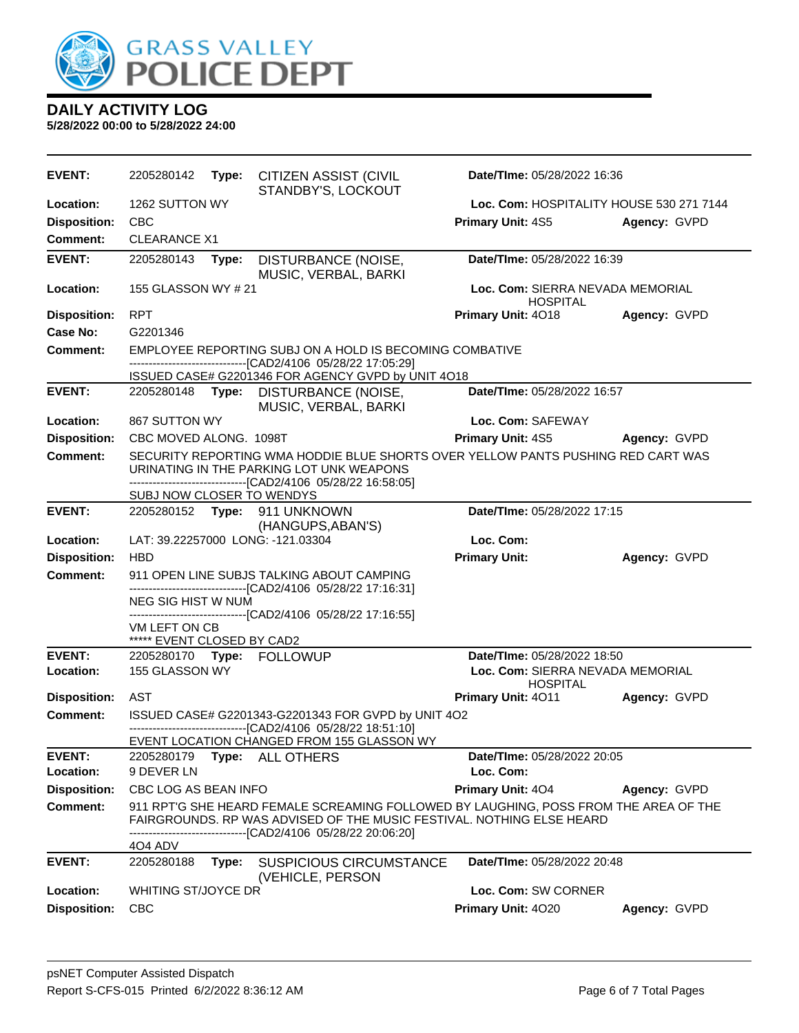

| <b>EVENT:</b>                    | 2205280142                                                                                                                                                                                                             |       | Type: CITIZEN ASSIST (CIVIL<br>STANDBY'S, LOCKOUT                                                                            | Date/TIme: 05/28/2022 16:36                         |              |  |
|----------------------------------|------------------------------------------------------------------------------------------------------------------------------------------------------------------------------------------------------------------------|-------|------------------------------------------------------------------------------------------------------------------------------|-----------------------------------------------------|--------------|--|
| Location:                        | 1262 SUTTON WY                                                                                                                                                                                                         |       |                                                                                                                              | Loc. Com: HOSPITALITY HOUSE 530 271 7144            |              |  |
| <b>Disposition:</b>              | <b>CBC</b>                                                                                                                                                                                                             |       |                                                                                                                              | <b>Primary Unit: 4S5</b>                            | Agency: GVPD |  |
| Comment:                         | <b>CLEARANCE X1</b>                                                                                                                                                                                                    |       |                                                                                                                              |                                                     |              |  |
| <b>EVENT:</b>                    | 2205280143                                                                                                                                                                                                             | Type: | DISTURBANCE (NOISE,<br>MUSIC, VERBAL, BARKI                                                                                  | Date/TIme: 05/28/2022 16:39                         |              |  |
| Location:                        | 155 GLASSON WY # 21                                                                                                                                                                                                    |       |                                                                                                                              | Loc. Com: SIERRA NEVADA MEMORIAL<br><b>HOSPITAL</b> |              |  |
| <b>Disposition:</b>              | <b>RPT</b>                                                                                                                                                                                                             |       |                                                                                                                              | Primary Unit: 4018                                  | Agency: GVPD |  |
| Case No:                         | G2201346                                                                                                                                                                                                               |       |                                                                                                                              |                                                     |              |  |
| Comment:                         |                                                                                                                                                                                                                        |       | EMPLOYEE REPORTING SUBJ ON A HOLD IS BECOMING COMBATIVE<br>------------------------------[CAD2/4106 05/28/22 17:05:29]       |                                                     |              |  |
| <b>EVENT:</b>                    |                                                                                                                                                                                                                        |       | ISSUED CASE# G2201346 FOR AGENCY GVPD by UNIT 4O18                                                                           | Date/TIme: 05/28/2022 16:57                         |              |  |
|                                  | 2205280148 <b>Type:</b>                                                                                                                                                                                                |       | DISTURBANCE (NOISE,<br>MUSIC, VERBAL, BARKI                                                                                  |                                                     |              |  |
| Location:                        | 867 SUTTON WY                                                                                                                                                                                                          |       |                                                                                                                              | Loc. Com: SAFEWAY                                   |              |  |
| <b>Disposition:</b>              | CBC MOVED ALONG. 1098T                                                                                                                                                                                                 |       |                                                                                                                              | <b>Primary Unit: 4S5</b>                            | Agency: GVPD |  |
| <b>Comment:</b>                  |                                                                                                                                                                                                                        |       | SECURITY REPORTING WMA HODDIE BLUE SHORTS OVER YELLOW PANTS PUSHING RED CART WAS<br>URINATING IN THE PARKING LOT UNK WEAPONS |                                                     |              |  |
|                                  | SUBJ NOW CLOSER TO WENDYS                                                                                                                                                                                              |       | -------------------------------[CAD2/4106 05/28/22 16:58:05]                                                                 |                                                     |              |  |
| <b>EVENT:</b>                    |                                                                                                                                                                                                                        |       | 2205280152 Type: 911 UNKNOWN<br>(HANGUPS, ABAN'S)                                                                            | Date/TIme: 05/28/2022 17:15                         |              |  |
| Location:                        |                                                                                                                                                                                                                        |       | LAT: 39.22257000 LONG: -121.03304                                                                                            | Loc. Com:                                           |              |  |
| <b>Disposition:</b>              | <b>HBD</b>                                                                                                                                                                                                             |       |                                                                                                                              | <b>Primary Unit:</b>                                | Agency: GVPD |  |
| <b>Comment:</b>                  |                                                                                                                                                                                                                        |       | 911 OPEN LINE SUBJS TALKING ABOUT CAMPING                                                                                    |                                                     |              |  |
|                                  | NEG SIG HIST W NUM                                                                                                                                                                                                     |       | -------------------------------[CAD2/4106 05/28/22 17:16:31]                                                                 |                                                     |              |  |
|                                  |                                                                                                                                                                                                                        |       | -------------------------------[CAD2/4106 05/28/22 17:16:55]                                                                 |                                                     |              |  |
|                                  | VM LEFT ON CB<br>***** EVENT CLOSED BY CAD2                                                                                                                                                                            |       |                                                                                                                              |                                                     |              |  |
| <b>EVENT:</b>                    |                                                                                                                                                                                                                        |       | 2205280170 Type: FOLLOWUP                                                                                                    | Date/TIme: 05/28/2022 18:50                         |              |  |
| Location:                        | 155 GLASSON WY                                                                                                                                                                                                         |       |                                                                                                                              | Loc. Com: SIERRA NEVADA MEMORIAL<br><b>HOSPITAL</b> |              |  |
| <b>Disposition:</b>              | AST                                                                                                                                                                                                                    |       |                                                                                                                              | Primary Unit: 4011                                  | Agency: GVPD |  |
| <b>Comment:</b>                  |                                                                                                                                                                                                                        |       | ISSUED CASE# G2201343-G2201343 FOR GVPD by UNIT 4O2<br>-------------------------------[CAD2/4106 05/28/22 18:51:10]          |                                                     |              |  |
|                                  |                                                                                                                                                                                                                        |       | EVENT LOCATION CHANGED FROM 155 GLASSON WY                                                                                   |                                                     |              |  |
| <b>EVENT:</b>                    | 2205280179                                                                                                                                                                                                             | Type: | ALL OTHERS                                                                                                                   | Date/TIme: 05/28/2022 20:05                         |              |  |
| Location:<br><b>Disposition:</b> | 9 DEVER LN<br>CBC LOG AS BEAN INFO                                                                                                                                                                                     |       |                                                                                                                              | Loc. Com:<br>Primary Unit: 404                      |              |  |
| <b>Comment:</b>                  |                                                                                                                                                                                                                        |       |                                                                                                                              |                                                     | Agency: GVPD |  |
|                                  | 911 RPT'G SHE HEARD FEMALE SCREAMING FOLLOWED BY LAUGHING, POSS FROM THE AREA OF THE<br>FAIRGROUNDS. RP WAS ADVISED OF THE MUSIC FESTIVAL. NOTHING ELSE HEARD<br>------------------------[CAD2/4106_05/28/22 20:06:20] |       |                                                                                                                              |                                                     |              |  |
|                                  | 4O4 ADV                                                                                                                                                                                                                |       |                                                                                                                              |                                                     |              |  |
| <b>EVENT:</b>                    | 2205280188                                                                                                                                                                                                             | Type: | SUSPICIOUS CIRCUMSTANCE<br>(VEHICLE, PERSON                                                                                  | Date/TIme: 05/28/2022 20:48                         |              |  |
| Location:                        | WHITING ST/JOYCE DR                                                                                                                                                                                                    |       |                                                                                                                              | Loc. Com: SW CORNER                                 |              |  |
| <b>Disposition:</b>              | <b>CBC</b>                                                                                                                                                                                                             |       |                                                                                                                              | Primary Unit: 4020                                  | Agency: GVPD |  |